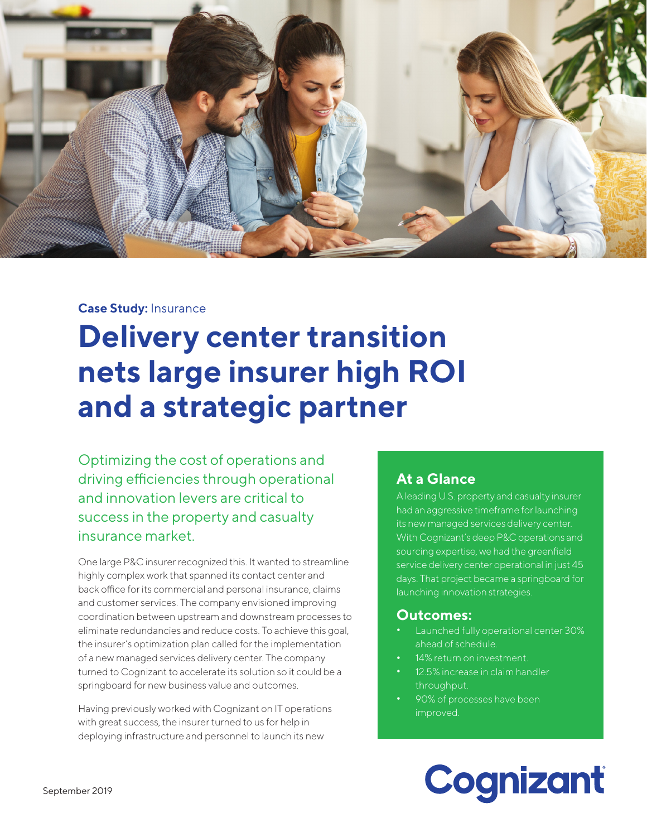

#### **Case Study:** Insurance

## **Delivery center transition nets large insurer high ROI and a strategic partner**

Optimizing the cost of operations and driving efficiencies through operational and innovation levers are critical to success in the property and casualty insurance market.

One large P&C insurer recognized this. It wanted to streamline highly complex work that spanned its contact center and back office for its commercial and personal insurance, claims and customer services. The company envisioned improving coordination between upstream and downstream processes to eliminate redundancies and reduce costs. To achieve this goal, the insurer's optimization plan called for the implementation of a new managed services delivery center. The company turned to Cognizant to accelerate its solution so it could be a springboard for new business value and outcomes.

Having previously worked with Cognizant on IT operations with great success, the insurer turned to us for help in deploying infrastructure and personnel to launch its new

#### **At a Glance**

A leading U.S. property and casualty insurer had an aggressive timeframe for launching its new managed services delivery center. With Cognizant's deep P&C operations and sourcing expertise, we had the greenfield service delivery center operational in just 45 days. That project became a springboard for launching innovation strategies.

#### **Outcomes:**

- **•** Launched fully operational center 30% ahead of schedule.
- **•** 14% return on investment.
- **•** 12.5% increase in claim handler throughput.
- **•** 90% of processes have been improved.

# Cognizant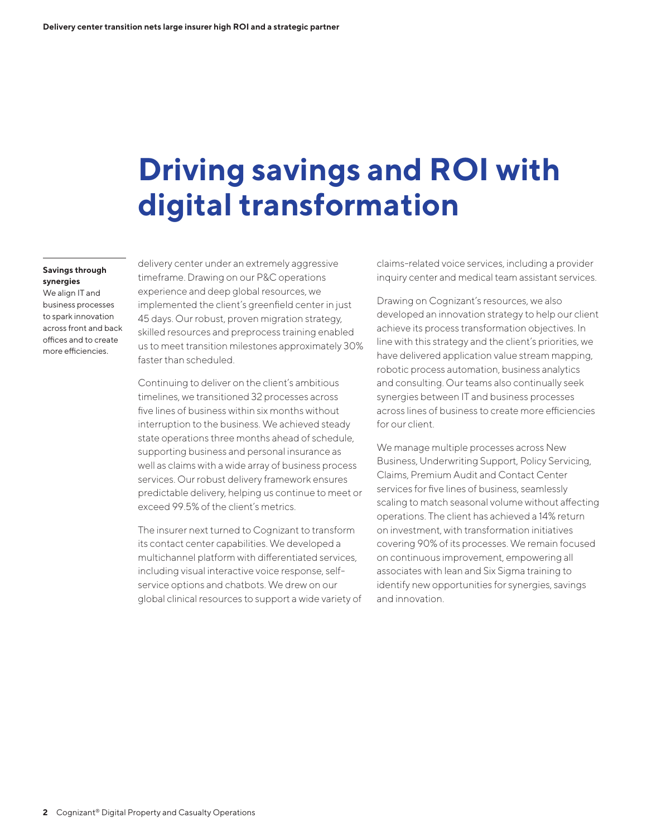## **Driving savings and ROI with digital transformation**

#### **Savings through synergies**

We align IT and business processes to spark innovation across front and back offices and to create more efficiencies.

delivery center under an extremely aggressive timeframe. Drawing on our P&C operations experience and deep global resources, we implemented the client's greenfield center in just 45 days. Our robust, proven migration strategy, skilled resources and preprocess training enabled us to meet transition milestones approximately 30% faster than scheduled.

Continuing to deliver on the client's ambitious timelines, we transitioned 32 processes across five lines of business within six months without interruption to the business. We achieved steady state operations three months ahead of schedule, supporting business and personal insurance as well as claims with a wide array of business process services. Our robust delivery framework ensures predictable delivery, helping us continue to meet or exceed 99.5% of the client's metrics.

The insurer next turned to Cognizant to transform its contact center capabilities. We developed a multichannel platform with differentiated services, including visual interactive voice response, selfservice options and chatbots. We drew on our global clinical resources to support a wide variety of

claims-related voice services, including a provider inquiry center and medical team assistant services.

Drawing on Cognizant's resources, we also developed an innovation strategy to help our client achieve its process transformation objectives. In line with this strategy and the client's priorities, we have delivered application value stream mapping, robotic process automation, business analytics and consulting. Our teams also continually seek synergies between IT and business processes across lines of business to create more efficiencies for our client.

We manage multiple processes across New Business, Underwriting Support, Policy Servicing, Claims, Premium Audit and Contact Center services for five lines of business, seamlessly scaling to match seasonal volume without affecting operations. The client has achieved a 14% return on investment, with transformation initiatives covering 90% of its processes. We remain focused on continuous improvement, empowering all associates with lean and Six Sigma training to identify new opportunities for synergies, savings and innovation.